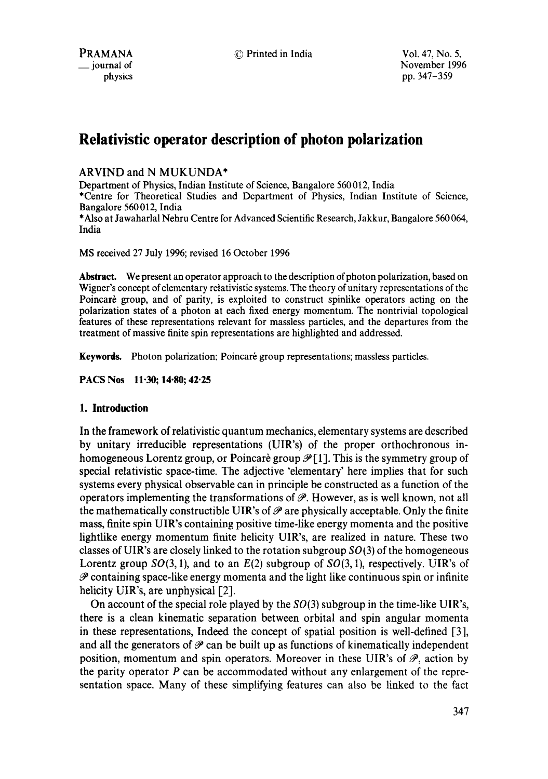# **Relativistic operator description of photon polarization**

## ARVIND and N MUKUNDA\*

Department of Physics, Indian Institute of Science, Bangalore 560012, India

\*Centre for Theoretical Studies and Department of Physics, Indian Institute of Science, Bangalore 560012, India

\*Also at Jawaharlal Nehru Centre for Advanced Scientific Research, Jakkur, Bangalore 560 064, India

MS received 27 July 1996; revised 16 October 1996

**Abstract.** We present an operator approach to the description of photon polarization, based on Wigner's concept of elementary relativistic systems. The theory of unitary representations of the Poincare group, and of parity, is exploited to construct spinlike operators acting on the polarization states of a photon at each fixed energy momentum. The nontrivial topological features of these representations relevant for massless particles, and the departures from the treatment of massive finite spin representations are highlighted and addressed.

**Keywords.** Photon polarization; Poincaré group representations; massless particles.

**PACS Nos 11.30; 14.80; 42.25** 

### **1. Introduction**

In the framework of relativistic quantum mechanics, elementary systems are described by unitary irreducible representations (UIR's) of the proper orthochronous inhomogeneous Lorentz group, or Poincaré group  $\mathcal{P}[1]$ . This is the symmetry group of special relativistic space-time. The adjective 'elementary' here implies that for such systems every physical observable can in principle be constructed as a function of the operators implementing the transformations of  $\mathscr{P}$ . However, as is well known, not all the mathematically constructible UIR's of  $\mathcal P$  are physically acceptable. Only the finite mass, finite spin UIR's containing positive time-like energy momenta and the positive lightlike energy momentum finite helicity UIR's, are realized in nature. These two classes of UIR's are closely linked to the rotation subgroup *S0(3)* of the homogeneous Lorentz group  $SO(3, 1)$ , and to an  $E(2)$  subgroup of  $SO(3, 1)$ , respectively. UIR's of  $\mathscr P$  containing space-like energy momenta and the light like continuous spin or infinite helicity UIR's, are unphysical  $[2]$ .

On account of the special role played by the  $SO(3)$  subgroup in the time-like UIR's, there is a clean kinematic separation between orbital and spin angular momenta in these representations, Indeed the concept of spatial position is well-defined [3], and all the generators of  $P$  can be built up as functions of kinematically independent position, momentum and spin operators. Moreover in these UIR's of  $\mathcal{P}$ , action by the parity operator  $P$  can be accommodated without any enlargement of the representation space. Many of these simplifying features can also be linked to the fact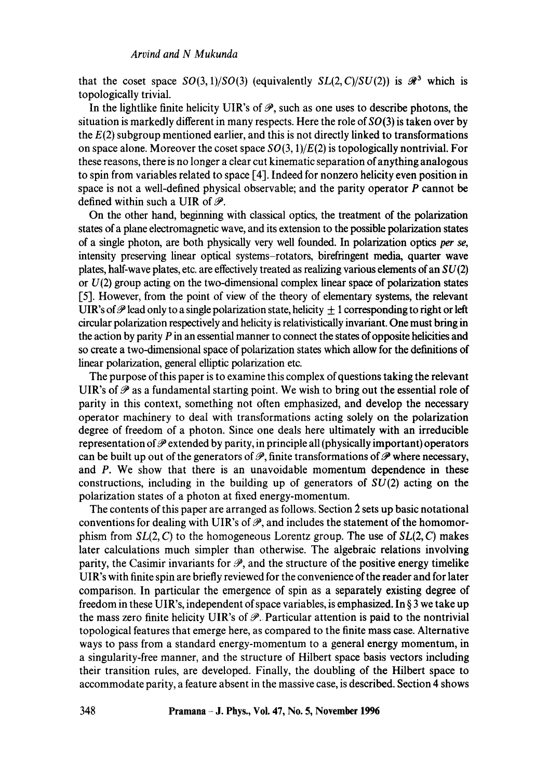that the coset space  $SO(3, 1)/SO(3)$  (equivalently  $SL(2, C)/SU(2)$ ) is  $\mathcal{R}^3$  which is topologically trivial.

In the lightlike finite helicity UIR's of  $\mathscr{P}$ , such as one uses to describe photons, the situation is markedly different in many respects. Here the role of  $SO(3)$  is taken over by the  $E(2)$  subgroup mentioned earlier, and this is not directly linked to transformations on space alone. Moreover the coset space  $SO(3,1)/E(2)$  is topologically nontrivial. For these reasons, there is no longer a clear cut kinematic separation of anything analogous to spin from variables related to space [4]. Indeed for nonzero helicity even position in space is not a well-defined physical observable; and the parity operator P cannot be defined within such a UIR of  $\mathcal{P}$ .

On the other hand, beginning with classical optics, the treatment of the polarization states of a plane electromagnetic wave, and its extension to the possible polarization states of a single photon, are both physically very well founded. In polarization optics per *se,*  intensity preserving linear optical systems-rotators, birefringent media, quarter wave plates, half-wave plates, etc. are effectively treated as realizing various elements of an  $SU(2)$ or  $U(2)$  group acting on the two-dimensional complex linear space of polarization states [5]. However, from the point of view of the theory of elementary systems, the relevant UIR's of  $\mathscr P$  lead only to a single polarization state, helicity  $\pm 1$  corresponding to right or left circular polarization respectively and helicity is relativistically invariant. One must bring in the action by parity  $P$  in an essential manner to connect the states of opposite helicities and so create a two-dimensional space of polarization states which allow for the definitions of linear polarization, general elliptic polarization etc.

The purpose of this paper is to examine this complex of questions taking the relevant UIR's of  $\mathscr P$  as a fundamental starting point. We wish to bring out the essential role of parity in this context, something not often emphasized, and develop the necessary operator machinery to deal with transformations acting solely on the polarization degree of freedom of a photon. Since one deals here ultimately with an irreducible representation of  $\mathscr P$  extended by parity, in principle all (physically important) operators can be built up out of the generators of  $\mathscr{P}$ , finite transformations of  $\mathscr{P}$  where necessary, and P. We show that there is an unavoidable momentum dependence in these constructions, including in the building up of generators of  $SU(2)$  acting on the polarization states of a photon at fixed energy-momentum.

The contents of this paper are arranged as follows. Section 2 sets up basic notational conventions for dealing with UIR's of  $\mathcal{P}$ , and includes the statement of the homomorphism from *SL(2, C)* to the homogeneous Lorentz group. The use of *SL(2, C)* makes later calculations much simpler than otherwise. The algebraic relations involving parity, the Casimir invariants for  $\mathcal{P}$ , and the structure of the positive energy timelike UIR's with finite spin are briefly reviewed for the convenience of the reader and for later comparison. In particular the emergence of spin as a separately existing degree of freedom in these UIR's, independent of space variables, is emphasized. In § 3 we take up the mass zero finite helicity UIR's of  $\mathcal{P}$ . Particular attention is paid to the nontrivial topological features that emerge here, as compared to the finite mass case. Alternative ways to pass from a standard energy-momentum to a general energy momentum, in a singularity-free manner, and the structure of Hilbert space basis vectors including their transition rules, are developed. Finally, the doubling of the Hilbert space to accommodate parity, a feature absent in the massive case, is described. Section 4 shows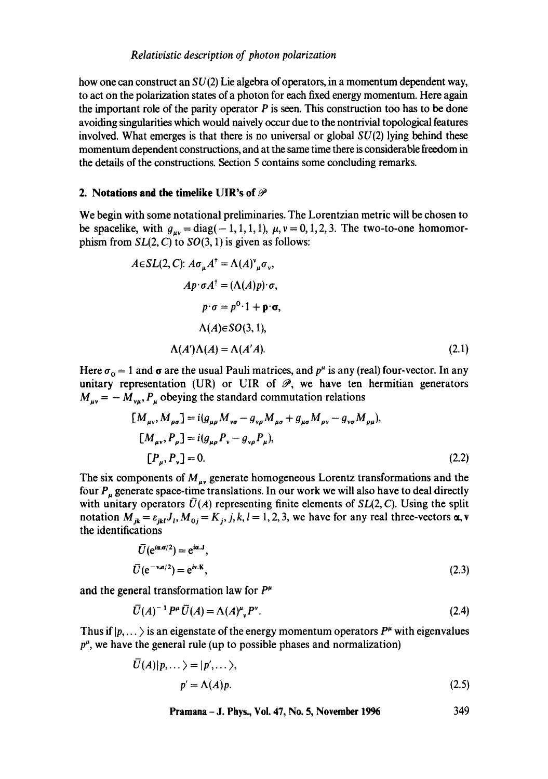how one can construct an  $SU(2)$  Lie algebra of operators, in a momentum dependent way, to act on the polarization states of a photon for each fixed energy momentum. Here again the important role of the parity operator  $P$  is seen. This construction too has to be done avoiding singularities which would naively occur due to the nontrivial topological features involved. What emerges is that there is no universal or global  $SU(2)$  lying behind these momentum dependent constructions, and at the same time there is considerable freedom in the details of the constructions. Section 5 contains some concluding remarks.

## **2. Notations and the timelike UIR's of**

We begin with some notational preliminaries. The Lorentzian metric will be chosen to be spacelike, with  $g_{\mu\nu} = \text{diag}(-1, 1, 1, 1)$ ,  $\mu$ ,  $\nu = 0, 1, 2, 3$ . The two-to-one homomorphism from  $SL(2, C)$  to  $SO(3, 1)$  is given as follows:

$$
A \in SL(2, C): A\sigma_{\mu}A^{\dagger} = \Lambda(A)^{\nu}_{\mu}\sigma_{\nu},
$$
  
\n
$$
Ap \cdot \sigma A^{\dagger} = (\Lambda(A)p) \cdot \sigma,
$$
  
\n
$$
p \cdot \sigma = p^{0} \cdot 1 + \mathbf{p} \cdot \sigma,
$$
  
\n
$$
\Lambda(A) \in SO(3, 1),
$$
  
\n
$$
\Lambda(A')\Lambda(A) = \Lambda(A'A).
$$
\n(2.1)

Here  $\sigma_0 = 1$  and  $\sigma$  are the usual Pauli matrices, and  $p^{\mu}$  is any (real) four-vector. In any unitary representation (UR) or UIR of  $\mathcal{P}$ , we have ten hermitian generators  $M_{\mu\nu} = -M_{\nu\mu}$ ,  $P_{\mu}$  obeying the standard commutation relations

$$
[M_{\mu\nu}, M_{\rho\sigma}] = i(g_{\mu\rho}M_{\nu\sigma} - g_{\nu\rho}M_{\mu\sigma} + g_{\mu\sigma}M_{\rho\nu} - g_{\nu\sigma}M_{\rho\mu}),
$$
  
\n
$$
[M_{\mu\nu}, P_{\rho}] = i(g_{\mu\rho}P_{\nu} - g_{\nu\rho}P_{\mu}),
$$
  
\n
$$
[P_{\mu}, P_{\nu}] = 0.
$$
\n(2.2)

The six components of  $M_{uv}$  generate homogeneous Lorentz transformations and the four  $P_{\mu}$  generate space-time translations. In our work we will also have to deal directly with unitary operators  $\bar{U}(A)$  representing finite elements of  $SL(2, C)$ . Using the split notation  $M_{jk} = \varepsilon_{jkl} J_i$ ,  $M_{0j} = K_j$ , j, k, l = 1, 2, 3, we have for any real three-vectors  $\alpha$ , v the identifications

$$
\overline{U}(e^{i\alpha \sigma/2}) = e^{i\alpha \cdot J},
$$
\n
$$
\overline{U}(e^{-\nu \sigma/2}) = e^{i\nu \cdot K},
$$
\n(2.3)

and the general transformation law for  $P^{\mu}$ 

$$
\overline{U}(A)^{-1}P^{\mu}\overline{U}(A) = \Lambda(A)^{\mu}P^{\nu}.
$$
 (2.4)

Thus if  $|p,\ldots\rangle$  is an eigenstate of the energy momentum operators  $P^{\mu}$  with eigenvalues  $p^{\mu}$ , we have the general rule (up to possible phases and normalization)

$$
\overline{U}(A)|p,\ldots\rangle = |p',\ldots\rangle,
$$
  
 
$$
p' = \Lambda(A)p.
$$
 (2.5)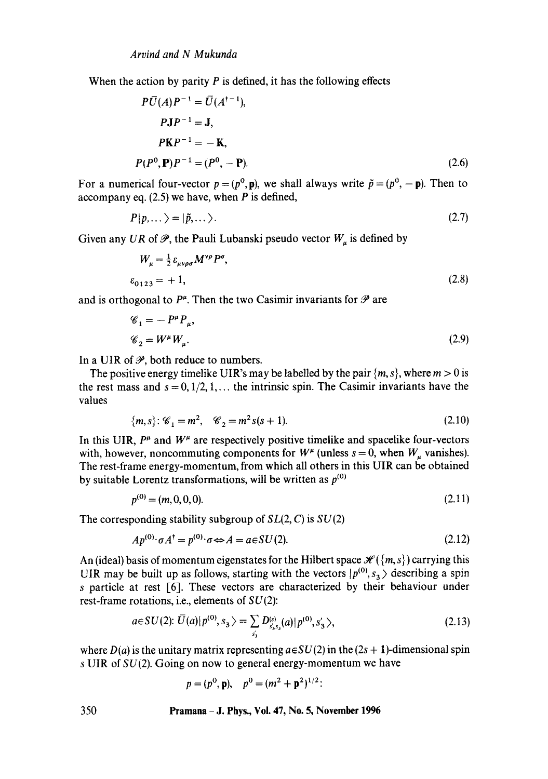When the action by parity  $P$  is defined, it has the following effects

$$
P\overline{U}(A)P^{-1} = \overline{U}(A^{+-1}),
$$
  
\n
$$
P\mathbf{J}P^{-1} = \mathbf{J},
$$
  
\n
$$
P\mathbf{K}P^{-1} = -\mathbf{K},
$$
  
\n
$$
P(P^0, \mathbf{P})P^{-1} = (P^0, -\mathbf{P}).
$$
\n(2.6)

For a numerical four-vector  $p = (p^0, \mathbf{p})$ , we shall always write  $\tilde{p} = (p^0, -\mathbf{p})$ . Then to accompany eq.  $(2.5)$  we have, when P is defined,

$$
P|p,...\rangle=|\tilde{p},...\rangle.
$$
 (2.7)

Given any *UR* of  $\mathscr{P}$ , the Pauli Lubanski pseudo vector  $W_u$  is defined by

$$
W_{\mu} = \frac{1}{2} \varepsilon_{\mu\nu\rho\sigma} M^{\nu\rho} P^{\sigma},
$$
  
\n
$$
\varepsilon_{0123} = +1,
$$
\n(2.8)

and is orthogonal to  $P^{\mu}$ . Then the two Casimir invariants for  $\mathscr P$  are

$$
\mathscr{C}_1 = -P^{\mu}P_{\mu},
$$
  
\n
$$
\mathscr{C}_2 = W^{\mu}W_{\mu}.
$$
\n(2.9)

In a UIR of  $\mathcal{P}$ , both reduce to numbers.

The positive energy timelike UIR's may be labelled by the pair  ${m, s}$ , where  $m > 0$  is the rest mass and  $s = 0, 1/2, 1, \ldots$  the intrinsic spin. The Casimir invariants have the values

$$
\{m, s\} : \mathscr{C}_1 = m^2, \quad \mathscr{C}_2 = m^2 s(s+1). \tag{2.10}
$$

In this UIR,  $P^{\mu}$  and  $W^{\mu}$  are respectively positive timelike and spacelike four-vectors with, however, noncommuting components for  $W^{\mu}$  (unless  $s = 0$ , when  $W_{\mu}$  vanishes). The rest-frame energy-momentum, from which all others in this UIR can be obtained by suitable Lorentz transformations, will be written as  $p^{(0)}$ 

$$
p^{(0)} = (m, 0, 0, 0). \tag{2.11}
$$

The corresponding stability subgroup of *SL(2, C)* is SU(2)

$$
Ap^{(0)} \cdot \sigma A^{\dagger} = p^{(0)} \cdot \sigma \Leftrightarrow A = a \in SU(2). \tag{2.12}
$$

An (ideal) basis of momentum eigenstates for the Hilbert space  $\mathcal{H}(\lbrace m, s \rbrace)$  carrying this UIR may be built up as follows, starting with the vectors  $|p^{(0)}, s_3\rangle$  describing a spin s particle at rest [6]. These vectors are characterized by their behaviour under rest-frame rotations, i.e., elements of  $SU(2)$ :

$$
a \in SU(2): \bar{U}(a) \mid p^{(0)}, s_3 \rangle = \sum_{s'_3} D_{s'_3 s_3}^{(s)}(a) \mid p^{(0)}, s'_3 \rangle, \tag{2.13}
$$

where  $D(a)$  is the unitary matrix representing  $a \in SU(2)$  in the  $(2s + 1)$ -dimensional spin s UIR of  $SU(2)$ . Going on now to general energy-momentum we have

$$
p = (p^0, \mathbf{p}), \quad p^0 = (m^2 + \mathbf{p}^2)^{1/2}
$$
: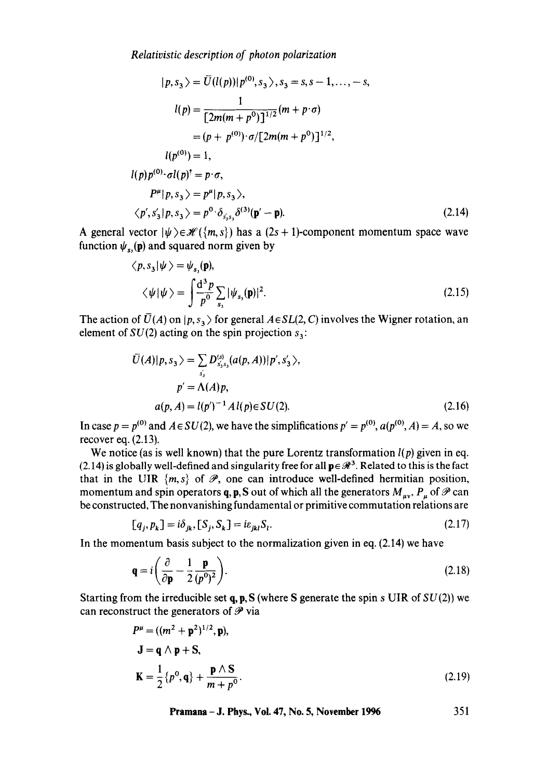*Relativistic description of photon polarization* 

$$
|p, s_3\rangle = \bar{U}(l(p))|p^{(0)}, s_3\rangle, s_3 = s, s - 1, ..., -s,
$$
  
\n
$$
l(p) = \frac{1}{[2m(m + p^0)]^{1/2}}(m + p \cdot \sigma)
$$
  
\n
$$
= (p + p^{(0)}) \cdot \sigma/[2m(m + p^0)]^{1/2},
$$
  
\n
$$
l(p^{(0)}) = 1,
$$
  
\n
$$
l(p)p^{(0)} \cdot \sigma l(p)^{\dagger} = p \cdot \sigma,
$$
  
\n
$$
P^{\mu}|p, s_3\rangle = p^{\mu}|p, s_3\rangle,
$$
  
\n
$$
\langle p', s'_3|p, s_3\rangle = p^0 \cdot \delta_{s'_3, \delta}(3)(p' - p).
$$
\n(2.14)

A general vector  $|\psi\rangle \in \mathcal{H}(\{m, s\})$  has a  $(2s + 1)$ -component momentum space wave function  $\psi_{s_0}(\mathbf{p})$  and squared norm given by

$$
\langle p, s_3 | \psi \rangle = \psi_{s_3}(\mathbf{p}),
$$
  

$$
\langle \psi | \psi \rangle = \int \frac{d^3 p}{p^0} \sum_{s_3} |\psi_{s_3}(\mathbf{p})|^2.
$$
 (2.15)

The action of  $\bar{U}(A)$  on  $|p, s_3 \rangle$  for general  $A \in SL(2, C)$  involves the Wigner rotation, an element of  $SU(2)$  acting on the spin projection  $s_3$ :

$$
\bar{U}(A)|p, s_3\rangle = \sum_{s'_3} D_{s'_3s_3}^{(s)} (a(p, A)) |p', s'_3\rangle,
$$
  
\n
$$
p' = \Lambda(A)p,
$$
  
\n
$$
a(p, A) = l(p')^{-1} A l(p) \in SU(2).
$$
\n(2.16)

In case  $p = p^{(0)}$  and  $A \in SU(2)$ , we have the simplifications  $p' = p^{(0)}$ ,  $a(p^{(0)}, A) = A$ , so we recover eq. (2.13).

We notice (as is well known) that the pure Lorentz transformation  $l(p)$  given in eq. (2.14) is globally well-defined and singularity free for all  $p \in \mathcal{R}^3$ . Related to this is the fact that in the UIR  $\{m, s\}$  of  $\mathcal{P}$ , one can introduce well-defined hermitian position, momentum and spin operators q, p, S out of which all the generators  $M_{uv}$ ,  $P_u$  of  $\mathscr P$  can be constructed. The nonvanishing fundamental or primitive commutation relations are

$$
[q_j, p_k] = i\delta_{jk}, [S_j, S_k] = i\varepsilon_{jkl} S_l.
$$
\n(2.17)

In the momentum basis subject to the normalization given in eq. (2.14) we have

$$
\mathbf{q} = i \left( \frac{\partial}{\partial \mathbf{p}} - \frac{1}{2} \frac{\mathbf{p}}{(p^0)^2} \right). \tag{2.18}
$$

Starting from the irreducible set q, p, S (where S generate the spin s UIR of  $SU(2)$ ) we can reconstruct the generators of  $\mathscr P$  via

$$
P^{\mu} = ((m^2 + \mathbf{p}^2)^{1/2}, \mathbf{p}),
$$
  
\n
$$
\mathbf{J} = \mathbf{q} \wedge \mathbf{p} + \mathbf{S},
$$
  
\n
$$
\mathbf{K} = \frac{1}{2} \{p^0, \mathbf{q}\} + \frac{\mathbf{p} \wedge \mathbf{S}}{m + p^0}.
$$
\n(2.19)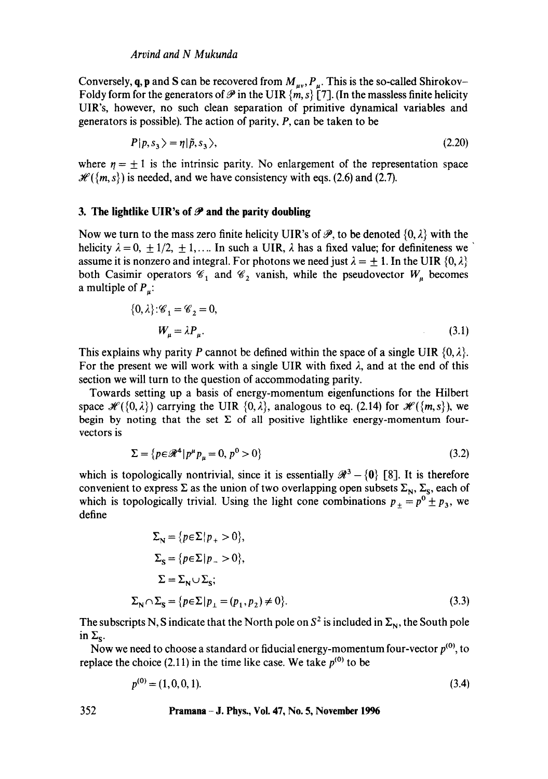Conversely, q, p and S can be recovered from  $M_{uv}$ ,  $P_u$ . This is the so-called Shirokov-Foldy form for the generators of  $\mathcal P$  in the UIR  $\{m, s\}$  [7]. (In the massless finite helicity UIR's, however, no such clean separation of primitive dynamical variables and generators is possible). The action of parity, P, can be taken to be

$$
P|p, s_3\rangle = \eta|\tilde{p}, s_3\rangle,\tag{2.20}
$$

where  $\eta = \pm 1$  is the intrinsic parity. No enlargement of the representation space  $\mathcal{H}(\{m, s\})$  is needed, and we have consistency with eqs. (2.6) and (2.7).

## 3. The lightlike UIR's of  $P$  and the parity doubling

Now we turn to the mass zero finite helicity UIR's of  $\mathscr{P}$ , to be denoted  $\{0, \lambda\}$  with the helicity  $\lambda = 0, \pm 1/2, \pm 1, \dots$  In such a UIR,  $\lambda$  has a fixed value; for definiteness we assume it is nonzero and integral. For photons we need just  $\lambda = \pm 1$ . In the UIR  $\{0, \lambda\}$ both Casimir operators  $\mathscr{C}_1$  and  $\mathscr{C}_2$  vanish, while the pseudovector  $W_\mu$  becomes a multiple of  $P_{\mu}$ :

$$
\{0, \lambda\} : \mathscr{C}_1 = \mathscr{C}_2 = 0,
$$
  

$$
W_{\mu} = \lambda P_{\mu}.
$$
 (3.1)

This explains why parity P cannot be defined within the space of a single UIR  $\{0, \lambda\}$ . For the present we will work with a single UIR with fixed  $\lambda$ , and at the end of this section we will turn to the question of accommodating parity.

Towards setting up a basis of energy-momentum eigenfunctions for the Hilbert space  $\mathcal{H}(\{0,\lambda\})$  carrying the UIR  $\{0,\lambda\}$ , analogous to eq. (2.14) for  $\mathcal{H}(\{m,s\})$ , we begin by noting that the set  $\Sigma$  of all positive lightlike energy-momentum fourvectors is

$$
\Sigma = \{ p \in \mathcal{R}^4 | p^\mu p_\mu = 0, \, p^0 > 0 \} \tag{3.2}
$$

which is topologically nontrivial, since it is essentially  $\mathcal{R}^3 - \{0\}$  [8]. It is therefore convenient to express  $\Sigma$  as the union of two overlapping open subsets  $\Sigma_N$ ,  $\Sigma_S$ , each of which is topologically trivial. Using the light cone combinations  $p_+ = p^0 \pm p_3$ , we define

$$
\Sigma_{\mathbf{N}} = \{p \in \Sigma | p_{+} > 0\},
$$
  
\n
$$
\Sigma_{\mathbf{S}} = \{p \in \Sigma | p_{-} > 0\},
$$
  
\n
$$
\Sigma = \Sigma_{\mathbf{N}} \cup \Sigma_{\mathbf{S}};
$$
  
\n
$$
\Sigma_{\mathbf{N}} \cap \Sigma_{\mathbf{S}} = \{p \in \Sigma | p_{+} = (p_{1}, p_{2}) \neq 0\}.
$$
\n(3.3)

The subscripts N, S indicate that the North pole on  $S^2$  is included in  $\Sigma_N$ , the South pole in  $\Sigma_{\rm s}$ .

Now we need to choose a standard or fiducial energy-momentum four-vector  $p^{(0)}$ , to replace the choice (2.11) in the time like case. We take  $p^{(0)}$  to be

$$
p^{(0)} = (1, 0, 0, 1). \tag{3.4}
$$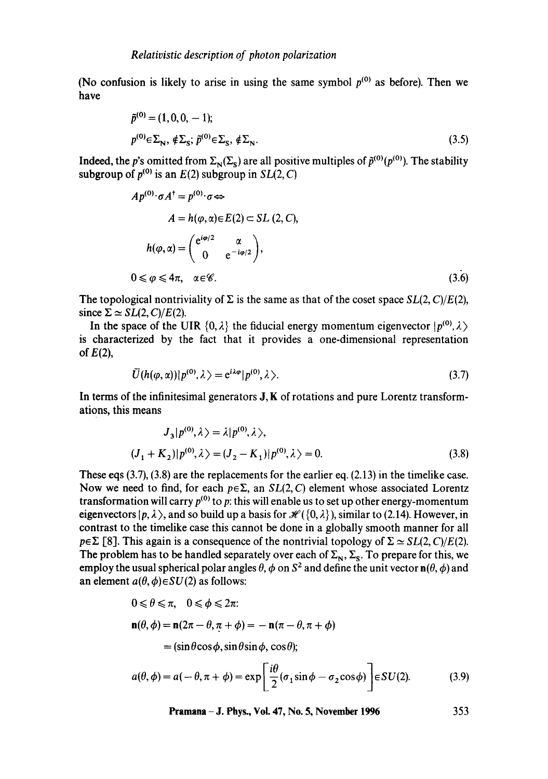(No confusion is likely to arise in using the same symbol  $p^{(0)}$  as before). Then we have

$$
\tilde{p}^{(0)} = (1, 0, 0, -1); \np^{(0)} \in \Sigma_N, \ \notin \Sigma_S; \ \tilde{p}^{(0)} \in \Sigma_S, \ \notin \Sigma_N.
$$
\n(3.5)

Indeed, the p's omitted from  $\Sigma_{N}(\Sigma_{s})$  are all positive multiples of  $\tilde{p}^{(0)}(p^{(0)})$ . The stability subgroup of  $p^{(0)}$  is an  $E(2)$  subgroup in  $SL(2, C)$ 

$$
Ap^{(0)} \cdot \sigma A^{\dagger} = p^{(0)} \cdot \sigma \Leftrightarrow
$$
  
\n
$$
A = h(\varphi, \alpha) \in E(2) \subset SL(2, C),
$$
  
\n
$$
h(\varphi, \alpha) = \begin{pmatrix} e^{i\varphi/2} & \alpha \\ 0 & e^{-i\varphi/2} \end{pmatrix},
$$
  
\n
$$
0 \leq \varphi \leq 4\pi, \quad \alpha \in \mathscr{C}.
$$
  
\n(3.6)

The topological nontriviality of  $\Sigma$  is the same as that of the coset space  $SL(2, C)/E(2)$ , since  $\Sigma \simeq SL(2, C)/E(2)$ .

In the space of the UIR  $\{0, \lambda\}$  the fiducial energy momentum eigenvector  $|p^{(0)}, \lambda\rangle$ is characterized by the fact that it provides a one-dimensional representation of  $E(2)$ ,

$$
\overline{U}(h(\varphi,\alpha))|p^{(0)},\lambda\rangle=e^{i\lambda\varphi}|p^{(0)},\lambda\rangle.
$$
\n(3.7)

In terms of the infinitesimal generators  $J$ ,  $K$  of rotations and pure Lorentz transformations, this means

$$
J_3|p^{(0)},\lambda\rangle = \lambda|p^{(0)},\lambda\rangle,
$$
  

$$
(J_1 + K_2)|p^{(0)},\lambda\rangle = (J_2 - K_1)|p^{(0)},\lambda\rangle = 0.
$$
 (3.8)

These eqs (3.7), (3.8) are the replacements for the earlier eq. (2.13) in the timelike case. Now we need to find, for each  $p \in \Sigma$ , an *SL(2, C)* element whose associated Lorentz transformation will carry  $p^{(0)}$  to p: this will enable us to set up other energy-momentum eigenvectors  $|p, \lambda \rangle$ , and so build up a basis for  $\mathcal{H}(\{0, \lambda\})$ , similar to (2.14). However, in contrast to the timelike case this cannot be done in a globally smooth manner for all  $p \in \Sigma$  [8]. This again is a consequence of the nontrivial topology of  $\Sigma \simeq SL(2, C)/E(2)$ . The problem has to be handled separately over each of  $\Sigma_N$ ,  $\Sigma_S$ . To prepare for this, we employ the usual spherical polar angles  $\theta$ ,  $\phi$  on  $S^2$  and define the unit vector  $\mathbf{n}(\theta, \phi)$  and an element  $a(\theta, \phi) \in SU(2)$  as follows:

$$
0 \le \theta \le \pi, \quad 0 \le \phi \le 2\pi:
$$
  
\n
$$
\mathbf{n}(\theta, \phi) = \mathbf{n}(2\pi - \theta, \pi + \phi) = -\mathbf{n}(\pi - \theta, \pi + \phi)
$$
  
\n
$$
= (\sin\theta\cos\phi, \sin\theta\sin\phi, \cos\theta);
$$
  
\n
$$
a(\theta, \phi) = a(-\theta, \pi + \phi) = \exp\left[\frac{i\theta}{2}(\sigma_1\sin\phi - \sigma_2\cos\phi)\right] \in SU(2).
$$
 (3.9)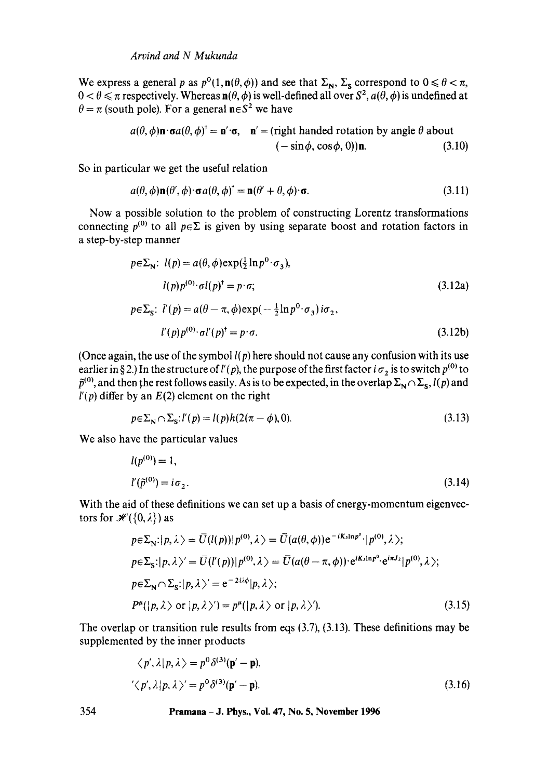We express a general p as  $p^0(1, n(\theta, \phi))$  and see that  $\Sigma_N$ ,  $\Sigma_S$  correspond to  $0 \le \theta < \pi$ ,  $0 < \theta \leq \pi$  respectively. Whereas  $n(\theta, \phi)$  is well-defined all over  $S^2$ ,  $a(\theta, \phi)$  is undefined at  $\theta = \pi$  (south pole). For a general n $\epsilon S^2$  we have

$$
a(\theta, \phi) \mathbf{n} \cdot \mathbf{\sigma} a(\theta, \phi)^{\dagger} = \mathbf{n}' \cdot \mathbf{\sigma}, \quad \mathbf{n}' = (\text{right handed rotation by angle } \theta \text{ about } (-\sin\phi, \cos\phi, 0))\mathbf{n}.\tag{3.10}
$$

So in particular we get the useful relation

$$
a(\theta, \phi) \mathbf{n}(\theta', \phi) \cdot \mathbf{\sigma} a(\theta, \phi)^{\dagger} = \mathbf{n}(\theta' + \theta, \phi) \cdot \mathbf{\sigma}.
$$
 (3.11)

Now a possible solution to the problem of constructing Lorentz transformations connecting  $p^{(0)}$  to all  $p \in \Sigma$  is given by using separate boost and rotation factors in a step-by-step manner

$$
p \in \Sigma_{N}: l(p) = a(\theta, \phi) \exp(\frac{1}{2} \ln p^{0} \cdot \sigma_{3}),
$$
  
\n
$$
l(p)p^{(0)} \cdot \sigma l(p)^{+} = p \cdot \sigma;
$$
  
\n
$$
p \in \Sigma_{S}: l'(p) = a(\theta - \pi, \phi) \exp(-\frac{1}{2} \ln p^{0} \cdot \sigma_{3}) i\sigma_{2},
$$
  
\n
$$
l'(p)p^{(0)} \cdot \sigma l'(p)^{+} = p \cdot \sigma.
$$
  
\n(3.12b)

(Once again, the use of the symbol *l(p)* here should not cause any confusion with its use earlier in § 2.) In the structure of  $l'(p)$ , the purpose of the first factor *i*  $\sigma_2$  is to switch  $p^{(0)}$  to  $\tilde{p}^{(0)}$ , and then the rest follows easily. As is to be expected, in the overlap  $\Sigma_N \cap \Sigma_S$ , *l(p)* and  $l'(p)$  differ by an  $E(2)$  element on the right

$$
p \in \sum_{N} \cap \sum_{S} l'(p) = l(p)h(2(\pi - \phi), 0). \tag{3.13}
$$

We also have the particular values

$$
l(p^{(0)}) = 1,
$$
  
\n
$$
l'(\tilde{p}^{(0)}) = i\sigma_2.
$$
\n(3.14)

With the aid of these definitions we can set up a basis of energy-momentum eigenvectors for  $\mathcal{H}(\{0,\lambda\})$  as

$$
p \in \Sigma_N : |p, \lambda \rangle = \overline{U}(\mathcal{U}(p)) |p^{(0)}, \lambda \rangle = \overline{U}(a(\theta, \phi)) e^{-iK \sin p^0} \cdot |p^{(0)}, \lambda \rangle;
$$
  
\n
$$
p \in \Sigma_S : |p, \lambda \rangle' = \overline{U}(\mathcal{U}(p)) |p^{(0)}, \lambda \rangle = \overline{U}(a(\theta - \pi, \phi)) \cdot e^{iK \sin p^0} \cdot e^{i\pi J_2} |p^{(0)}, \lambda \rangle;
$$
  
\n
$$
p \in \Sigma_N \cap \Sigma_S : |p, \lambda \rangle' = e^{-2i\lambda \phi} |p, \lambda \rangle;
$$
  
\n
$$
P^{\mu}(|p, \lambda \rangle \text{ or } |p, \lambda \rangle') = p^{\mu}(|p, \lambda \rangle \text{ or } |p, \lambda \rangle').
$$
 (3.15)

The overlap or transition rule results from eqs (3.7), (3.13). These definitions may be supplemented by the inner products

$$
\langle p', \lambda | p, \lambda \rangle = p^0 \delta^{(3)}(\mathbf{p}' - \mathbf{p}),
$$
  

$$
\langle p', \lambda | p, \lambda \rangle' = p^0 \delta^{(3)}(\mathbf{p}' - \mathbf{p}).
$$
 (3.16)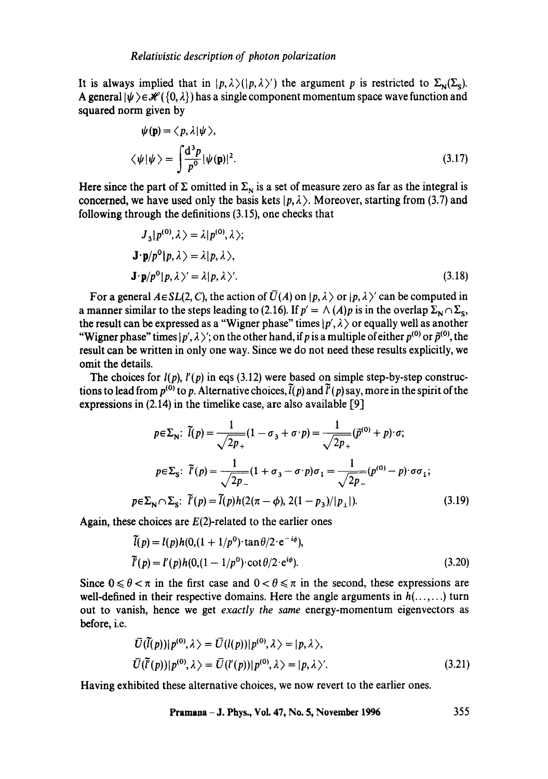It is always implied that in  $|p, \lambda\rangle (|p, \lambda\rangle)$  the argument p is restricted to  $\Sigma_{\mathbf{N}}(\Sigma_{\mathbf{S}})$ . A general  $|\psi\rangle \in \mathcal{H}({0,\lambda})$  has a single component momentum space wave function and squared norm given by

$$
\psi(\mathbf{p}) = \langle p, \lambda | \psi \rangle,
$$
  

$$
\langle \psi | \psi \rangle = \int \frac{d^3 p}{p^0} |\psi(\mathbf{p})|^2.
$$
 (3.17)

Here since the part of  $\Sigma$  omitted in  $\Sigma_N$  is a set of measure zero as far as the integral is concerned, we have used only the basis kets  $|p, \lambda\rangle$ . Moreover, starting from (3.7) and following through the definitions (3.15), one checks that

$$
J_3|p^{(0)},\lambda\rangle = \lambda|p^{(0)},\lambda\rangle;
$$
  

$$
\mathbf{J} \cdot \mathbf{p}/p^0|p,\lambda\rangle = \lambda|p,\lambda\rangle,
$$
  

$$
\mathbf{J} \cdot \mathbf{p}/p^0|p,\lambda\rangle' = \lambda|p,\lambda\rangle'.
$$
 (3.18)

For a general  $A \in SL(2, C)$ , the action of  $\overline{U}(A)$  on  $|p, \lambda \rangle$  or  $|p, \lambda \rangle'$  can be computed in a manner similar to the steps leading to (2.16). If  $p' = \Lambda(A)p$  is in the overlap  $\Sigma_N \cap \Sigma_S$ , the result can be expressed as a "Wigner phase" times  $|p', \lambda\rangle$  or equally well as another "Wigner phase" times  $|p', \lambda\rangle$ "; on the other hand, if p is a multiple of either  $p^{(0)}$  or  $\tilde{p}^{(0)}$ , the result can be written in only one way. Since we do not need these results explicitly, we omit the details.

The choices for  $l(p)$ ,  $l'(p)$  in eqs (3.12) were based on simple step-by-step constructions to lead from  $p^{(0)}$  to p. Alternative choices,  $\tilde{l}(p)$  and  $\tilde{l}'(p)$  say, more in the spirit of the expressions in  $(2.14)$  in the timelike case, are also available [9]

$$
p \in \Sigma_{\mathbb{N}}: \ \tilde{l}(p) = \frac{1}{\sqrt{2p_{+}}} (1 - \sigma_{3} + \sigma \cdot p) = \frac{1}{\sqrt{2p_{+}}} (\tilde{p}^{(0)} + p) \cdot \sigma;
$$
\n
$$
p \in \Sigma_{\mathbb{S}}: \ \tilde{l}'(p) = \frac{1}{\sqrt{2p_{-}}} (1 + \sigma_{3} - \sigma \cdot p) \sigma_{1} = \frac{1}{\sqrt{2p_{-}}} (p^{(0)} - p) \cdot \sigma \sigma_{1};
$$
\n
$$
p \in \Sigma_{\mathbb{N}} \cap \Sigma_{\mathbb{S}}: \ \tilde{l}'(p) = \tilde{l}(p)h(2(\pi - \phi), 2(1 - p_{3})/|p_{\perp}|). \tag{3.19}
$$

Again, these choices are  $E(2)$ -related to the earlier ones

$$
\tilde{l}(p) = l(p)h(0, (1 + 1/p^{0}) \cdot \tan \theta/2 \cdot e^{-i\phi}), \n\tilde{l}'(p) = l'(p)h(0, (1 - 1/p^{0}) \cdot \cot \theta/2 \cdot e^{i\phi}).
$$
\n(3.20)

Since  $0 \le \theta < \pi$  in the first case and  $0 < \theta \le \pi$  in the second, these expressions are well-defined in their respective domains. Here the angle arguments in  $h($ ......) turn out to vanish, hence we get *exactly the same* energy-momentum eigenvectors as before, i.e.

$$
\overline{U}(\overline{l}(p))|p^{(0)},\lambda\rangle = \overline{U}(l(p))|p^{(0)},\lambda\rangle = |p,\lambda\rangle,
$$
\n
$$
\overline{U}(\overline{l}(p))|p^{(0)},\lambda\rangle = \overline{U}(l'(p))|p^{(0)},\lambda\rangle = |p,\lambda\rangle'.
$$
\n(3.21)

Having exhibited these alternative choices, we now revert to the earlier ones.

$$
Pramana-J. Phys., Vol. 47, No. 5, November 1996 355
$$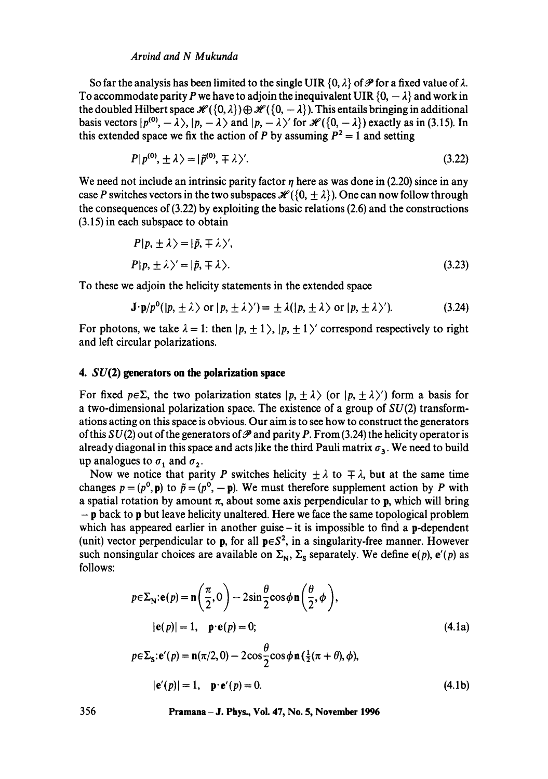#### *Arvind and N Mukunda*

So far the analysis has been limited to the single UIR  $\{0, \lambda\}$  of  $\mathscr P$  for a fixed value of  $\lambda$ . To accommodate parity P we have to adjoin the inequivalent UIR  $\{0, -\lambda\}$  and work in the doubled Hilbert space  $\mathcal{H}(\{0, \lambda\}) \oplus \mathcal{H}(\{0, -\lambda\})$ . This entails bringing in additional basis vectors  $|p^{(0)}, -\lambda\rangle$ ,  $|p, -\lambda\rangle$  and  $|p, -\lambda\rangle'$  for  $\mathcal{H}(\{0, -\lambda\})$  exactly as in (3.15). In this extended space we fix the action of P by assuming  $P^2 = 1$  and setting

$$
P|p^{(0)}, \pm \lambda \rangle = |\tilde{p}^{(0)}, \mp \lambda \rangle'.
$$
 (3.22)

We need not include an intrinsic parity factor  $\eta$  here as was done in (2.20) since in any case P switches vectors in the two subspaces  $\mathcal{H}(\{0, \pm \lambda\})$ . One can now follow through the consequences of (3.22) by exploiting the basic relations (2.6) and the constructions (3.15) in each subspace to obtain

$$
P|p, \pm \lambda \rangle = |\tilde{p}, \mp \lambda \rangle',
$$
  

$$
P|p, \pm \lambda \rangle' = |\tilde{p}, \mp \lambda \rangle.
$$
 (3.23)

To these we adjoin the helicity statements in the extended space

$$
\mathbf{J} \cdot \mathbf{p}/p^0(|p, \pm \lambda \rangle) \text{ or } |p, \pm \lambda \rangle') = \pm \lambda(|p, \pm \lambda \rangle) \text{ or } |p, \pm \lambda \rangle'). \tag{3.24}
$$

For photons, we take  $\lambda = 1$ : then  $|p, \pm 1 \rangle$ ,  $|p, \pm 1 \rangle'$  correspond respectively to right and left circular polarizations.

#### **4. SU(2) generators on the polarization space**

For fixed  $p \in \Sigma$ , the two polarization states  $|p, \pm \lambda \rangle$  (or  $|p, \pm \lambda \rangle'$ ) form a basis for a two-dimensional polarization space. The existence of a group of  $SU(2)$  transformations acting on this space is obvious. Our aim is to see how to construct the generators of this  $SU(2)$  out of the generators of  $\mathscr P$  and parity P. From (3.24) the helicity operator is already diagonal in this space and acts like the third Pauli matrix  $\sigma_3$ . We need to build up analogues to  $\sigma_1$  and  $\sigma_2$ .

Now we notice that parity P switches helicity  $\pm \lambda$  to  $\mp \lambda$ , but at the same time changes  $p = (p^0, \mathbf{p})$  to  $\tilde{p} = (p^0, -\mathbf{p})$ . We must therefore supplement action by P with a spatial rotation by amount  $\pi$ , about some axis perpendicular to **p**, which will bring  $-p$  back to p but leave helicity unaltered. Here we face the same topological problem which has appeared earlier in another guise  $-$  it is impossible to find a p-dependent (unit) vector perpendicular to **p**, for all  $\mathbf{p} \in S^2$ , in a singularity-free manner. However such nonsingular choices are available on  $\Sigma_N$ ,  $\Sigma_S$  separately. We define  $e(p)$ ,  $e'(p)$  as follows:

$$
p \in \Sigma_{\mathbb{N}} : \mathbf{e}(p) = \mathbf{n} \left( \frac{\pi}{2}, 0 \right) - 2 \sin \frac{\theta}{2} \cos \phi \mathbf{n} \left( \frac{\theta}{2}, \phi \right),
$$
  
\n
$$
|\mathbf{e}(p)| = 1, \quad \mathbf{p} \cdot \mathbf{e}(p) = 0;
$$
  
\n
$$
p \in \Sigma_{\mathbb{S}} : \mathbf{e}'(p) = \mathbf{n}(\pi/2, 0) - 2 \cos \frac{\theta}{2} \cos \phi \mathbf{n} \left( \frac{1}{2} (\pi + \theta), \phi \right),
$$
  
\n
$$
|\mathbf{e}'(p)| = 1, \quad \mathbf{p} \cdot \mathbf{e}'(p) = 0.
$$
\n(4.1b)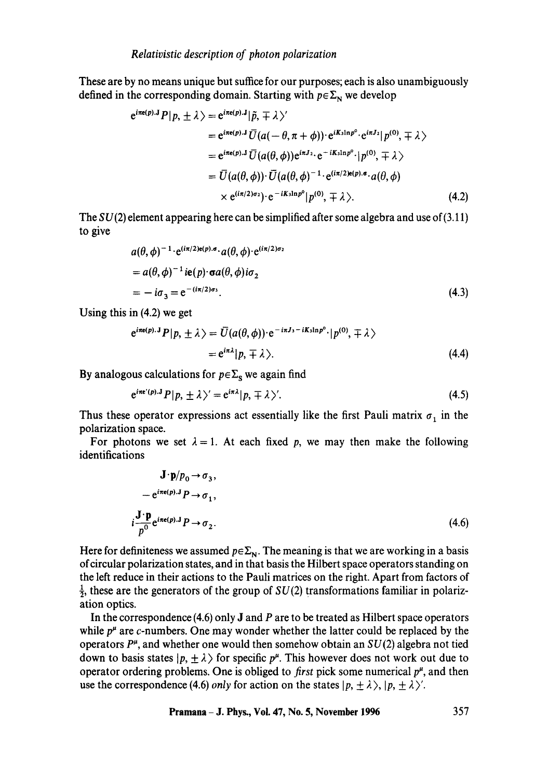These are by no means unique but suffice for our purposes; each is also unambiguously defined in the corresponding domain. Starting with  $p \in \Sigma_N$  we develop

$$
e^{i\pi e(p).J} P|p, \pm \lambda \rangle = e^{i\pi e(p).J} |\tilde{p}, \mp \lambda \rangle'
$$
  
\n
$$
= e^{i\pi e(p).J} \overline{U}(a(-\theta, \pi + \phi)) \cdot e^{iK \sin p^{\circ} \cdot} e^{i\pi J_2} |p^{(0)}, \mp \lambda \rangle
$$
  
\n
$$
= e^{i\pi e(p).J} \overline{U}(a(\theta, \phi)) e^{i\pi J_2} \cdot e^{-iK \sin p^{\circ} \cdot} |p^{(0)}, \mp \lambda \rangle
$$
  
\n
$$
= \overline{U}(a(\theta, \phi)) \cdot \overline{U}(a(\theta, \phi)^{-1} \cdot e^{(i\pi/2)e(p).\phi} \cdot a(\theta, \phi)
$$
  
\n
$$
\times e^{(i\pi/2)\sigma_2}) \cdot e^{-iK \sin p^{\circ}} |p^{(0)}, \mp \lambda \rangle.
$$
 (4.2)

The  $SU(2)$  element appearing here can be simplified after some algebra and use of (3.11) to give

$$
a(\theta, \phi)^{-1} \cdot e^{(i\pi/2)\epsilon(p).\sigma} \cdot a(\theta, \phi) \cdot e^{(i\pi/2)\sigma_2}
$$
  
=  $a(\theta, \phi)^{-1}$  ie(p) ·  $\sigma a(\theta, \phi) i\sigma_2$   
=  $-i\sigma_3 = e^{-(i\pi/2)\sigma_3}$ . (4.3)

Using this in (4.2) we get

$$
e^{i\pi e(p).J}P|p, \pm \lambda \rangle = \overline{U}(a(\theta, \phi)) \cdot e^{-i\pi J_3 - iK_3 \ln p^0} \cdot |p^{(0)}, \mp \lambda \rangle
$$
  
=  $e^{i\pi \lambda} |p, \mp \lambda \rangle.$  (4.4)

By analogous calculations for  $p \in \Sigma_s$  we again find

$$
e^{i\pi \mathbf{c}'(p).\mathbf{J}}P|p, \pm \lambda \rangle' = e^{i\pi \lambda}|p, \mp \lambda \rangle'. \tag{4.5}
$$

Thus these operator expressions act essentially like the first Pauli matrix  $\sigma_1$  in the polarization space.

For photons we set  $\lambda = 1$ . At each fixed p, we may then make the following identifications

$$
\mathbf{J} \cdot \mathbf{p}/p_0 \rightarrow \sigma_3,
$$
  
\n
$$
- e^{i\pi e(p).J} P \rightarrow \sigma_1,
$$
  
\n
$$
i \frac{\mathbf{J} \cdot \mathbf{p}}{p^0} e^{i\pi e(p).J} P \rightarrow \sigma_2.
$$
\n(4.6)

Here for definiteness we assumed  $p \in \Sigma_N$ . The meaning is that we are working in a basis of circular polarization states, and in that basis the Hilbert space operators standing on the left reduce in their actions to the Pauli matrices on the right. Apart from factors of  $\frac{1}{2}$ , these are the generators of the group of  $SU(2)$  transformations familiar in polarization optics.

In the correspondence (4.6) only J and P are to be treated as Hilbert space operators while  $p^{\mu}$  are c-numbers. One may wonder whether the latter could be replaced by the operators  $P^{\mu}$ , and whether one would then somehow obtain an  $SU(2)$  algebra not tied down to basis states  $|p, \pm \lambda \rangle$  for specific  $p^{\mu}$ . This however does not work out due to operator ordering problems. One is obliged to *first* pick some numerical  $p^{\mu}$ , and then use the correspondence (4.6) *only* for action on the states  $|p, \pm \lambda \rangle$ ,  $|p, \pm \lambda \rangle'$ .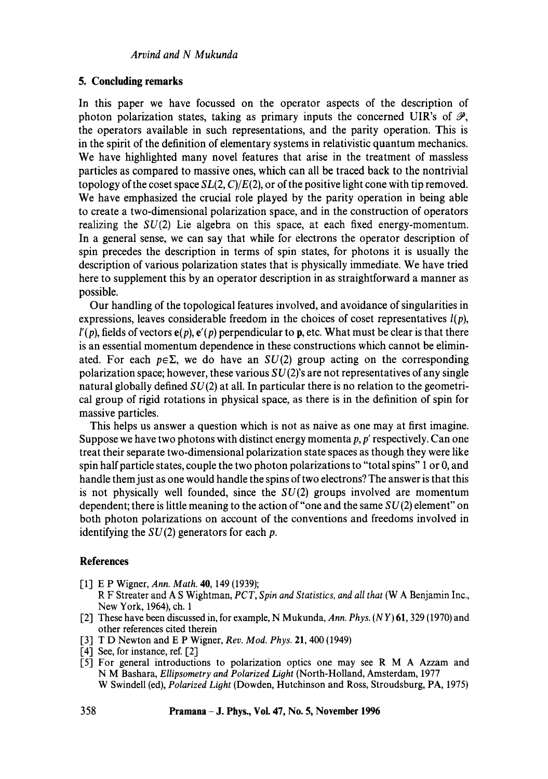#### **5. Concluding remarks**

In this paper we have focussed on the operator aspects of the description of photon polarization states, taking as primary inputs the concerned UIR's of  $\mathcal{P}$ , the operators available in such representations, and the parity operation. This is in the spirit of the definition of elementary systems in relativistic quantum mechanics. We have highlighted many novel features that arise in the treatment of massless particles as compared to massive ones, which can all be traced back to the nontrivial topology of the coset space  $SL(2, C)/E(2)$ , or of the positive light cone with tip removed. We have emphasized the crucial role played by the parity operation in being able to create a two-dimensional polarization space, and in the construction of operators realizing the  $SU(2)$  Lie algebra on this space, at each fixed energy-momentum. In a general sense, we can say that while for electrons the operator description of spin precedes the description in terms of spin states, for photons it is usually the description of various polarization states that is physically immediate. We have tried here to supplement this by an operator description in as straightforward a manner as possible.

Our handling of the topological features involved, and avoidance of singularities in expressions, leaves considerable freedom in the choices of coset representatives *l(p),*   $l'(p)$ , fields of vectors  $e(p)$ ,  $e'(p)$  perpendicular to p, etc. What must be clear is that there is an essential momentum dependence in these constructions which cannot be eliminated. For each  $p \in \Sigma$ , we do have an  $SU(2)$  group acting on the corresponding polarization space; however, these various  $SU(2)$ 's are not representatives of any single natural globally defined  $SU(2)$  at all. In particular there is no relation to the geometrical group of rigid rotations in physical space, as there is in the definition of spin for massive particles.

This helps us answer a question which is not as naive as one may at first imagine. Suppose we have two photons with distinct energy momenta  $p, p'$  respectively. Can one treat their separate two-dimensional polarization state spaces as though they were like spin half particle states, couple the two photon polarizations to "total spins" 1 or 0, and handle them just as one would handle the spins of two electrons? The answer is that this is not physically well founded, since the  $SU(2)$  groups involved are momentum dependent; there is little meaning to the action of "one and the same  $SU(2)$  element" on both photon polarizations on account of the conventions and freedoms involved in identifying the  $SU(2)$  generators for each p.

#### **References**

- [1] E P Wigner, *Ann. Math.* 40, 149 (1939);
	- R F Streater and A S Wightman, *PCT, Spin and Statistics, and all that* (W A Benjamin Inc., New York, 1964), ch. 1
- [2] These have been discussed in, for example, N Mukunda, *Ann. Phys. (NY)* 61, 329 (1970) and other references cited therein
- 1-3] T D Newton and E P Wigner, *Rev. Mod. Phys.* 21,400 (1949)
- [4] See, for instance, ref. [2]
- [5] For general introductions to polarization optics one may see R M A Azzam and N M Bashara, *Ellipsometry and Polarized Light* (North-Holland, Amsterdam, 1977 W Swindell (ed), *Polarized Light* (Dowden, Hutchinson and Ross, Stroudsburg, PA, 1975)